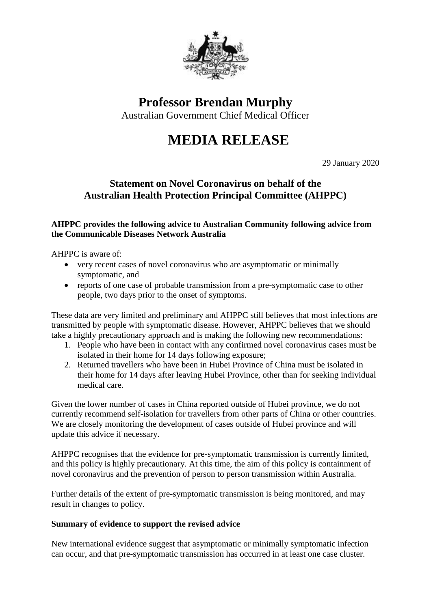

**Professor Brendan Murphy**

Australian Government Chief Medical Officer

## **MEDIA RELEASE**

29 January 2020

## **Statement on Novel Coronavirus on behalf of the Australian Health Protection Principal Committee (AHPPC)**

## **AHPPC provides the following advice to Australian Community following advice from the Communicable Diseases Network Australia**

AHPPC is aware of:

- very recent cases of novel coronavirus who are asymptomatic or minimally symptomatic, and
- reports of one case of probable transmission from a pre-symptomatic case to other people, two days prior to the onset of symptoms.

These data are very limited and preliminary and AHPPC still believes that most infections are transmitted by people with symptomatic disease. However, AHPPC believes that we should take a highly precautionary approach and is making the following new recommendations:

- 1. People who have been in contact with any confirmed novel coronavirus cases must be isolated in their home for 14 days following exposure;
- 2. Returned travellers who have been in Hubei Province of China must be isolated in their home for 14 days after leaving Hubei Province, other than for seeking individual medical care.

Given the lower number of cases in China reported outside of Hubei province, we do not currently recommend self-isolation for travellers from other parts of China or other countries. We are closely monitoring the development of cases outside of Hubei province and will update this advice if necessary.

AHPPC recognises that the evidence for pre-symptomatic transmission is currently limited, and this policy is highly precautionary. At this time, the aim of this policy is containment of novel coronavirus and the prevention of person to person transmission within Australia.

Further details of the extent of pre-symptomatic transmission is being monitored, and may result in changes to policy.

## **Summary of evidence to support the revised advice**

New international evidence suggest that asymptomatic or minimally symptomatic infection can occur, and that pre-symptomatic transmission has occurred in at least one case cluster.